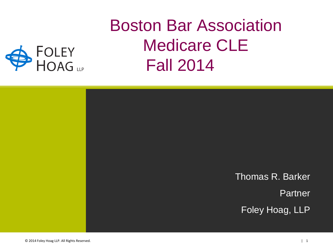## Boston Bar Association Medicare CLE Fall 2014



FOLEY<br>HOAG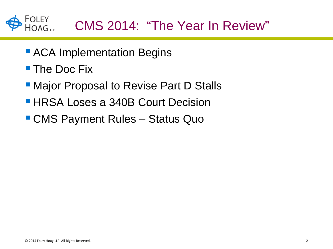

- **ACA Implementation Begins**
- **The Doc Fix**
- **Major Proposal to Revise Part D Stalls**
- **HRSA Loses a 340B Court Decision**
- CMS Payment Rules Status Quo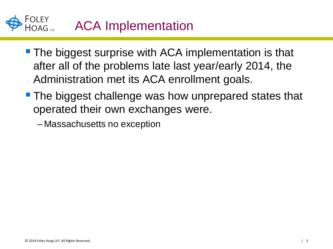

- **The biggest surprise with ACA implementation is that** after all of the problems late last year/early 2014, the Administration met its ACA enrollment goals.
- **The biggest challenge was how unprepared states that** operated their own exchanges were.

– Massachusetts no exception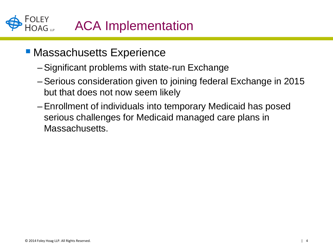FOLEY<br>HOAG ... ACA Implementation

## **- Massachusetts Experience**

- –Significant problems with state-run Exchange
- –Serious consideration given to joining federal Exchange in 2015 but that does not now seem likely
- –Enrollment of individuals into temporary Medicaid has posed serious challenges for Medicaid managed care plans in Massachusetts.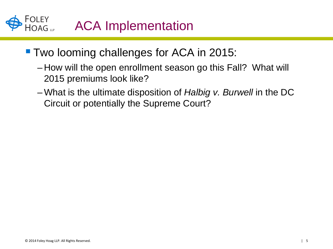FOLEY<br>HOAG ... ACA Implementation

- **Two looming challenges for ACA in 2015:** 
	- How will the open enrollment season go this Fall? What will 2015 premiums look like?
	- –What is the ultimate disposition of *Halbig v. Burwell* in the DC Circuit or potentially the Supreme Court?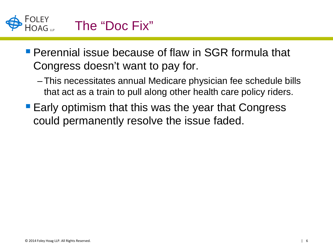

**Perennial issue because of flaw in SGR formula that** Congress doesn't want to pay for.

- –This necessitates annual Medicare physician fee schedule bills that act as a train to pull along other health care policy riders.
- **Early optimism that this was the year that Congress** could permanently resolve the issue faded.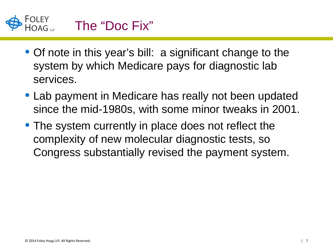

- Of note in this year's bill: a significant change to the system by which Medicare pays for diagnostic lab services.
- Lab payment in Medicare has really not been updated since the mid-1980s, with some minor tweaks in 2001.
- The system currently in place does not reflect the complexity of new molecular diagnostic tests, so Congress substantially revised the payment system.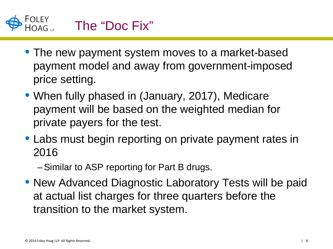

- The new payment system moves to a market-based payment model and away from government-imposed price setting.
- When fully phased in (January, 2017), Medicare payment will be based on the weighted median for private payers for the test.
- Labs must begin reporting on private payment rates in 2016

–Similar to ASP reporting for Part B drugs.

• New Advanced Diagnostic Laboratory Tests will be paid at actual list charges for three quarters before the transition to the market system.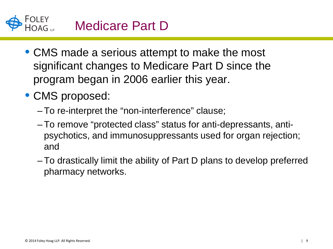

- CMS made a serious attempt to make the most significant changes to Medicare Part D since the program began in 2006 earlier this year.
- CMS proposed:
	- –To re-interpret the "non-interference" clause;
	- –To remove "protected class" status for anti-depressants, antipsychotics, and immunosuppressants used for organ rejection; and
	- –To drastically limit the ability of Part D plans to develop preferred pharmacy networks.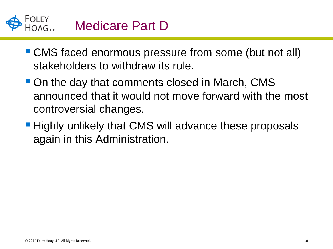## Medicare Part D

- CMS faced enormous pressure from some (but not all) stakeholders to withdraw its rule.
- On the day that comments closed in March, CMS announced that it would not move forward with the most controversial changes.
- **Highly unlikely that CMS will advance these proposals** again in this Administration.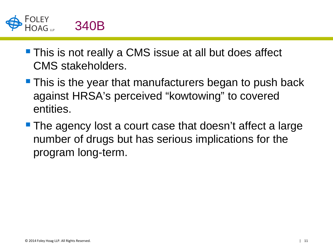

- **This is not really a CMS issue at all but does affect** CMS stakeholders.
- **This is the year that manufacturers began to push back** against HRSA's perceived "kowtowing" to covered entities.
- **The agency lost a court case that doesn't affect a large** number of drugs but has serious implications for the program long-term.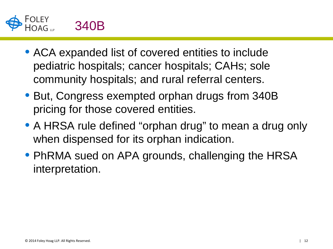

- ACA expanded list of covered entities to include pediatric hospitals; cancer hospitals; CAHs; sole community hospitals; and rural referral centers.
- But, Congress exempted orphan drugs from 340B pricing for those covered entities.
- A HRSA rule defined "orphan drug" to mean a drug only when dispensed for its orphan indication.
- PhRMA sued on APA grounds, challenging the HRSA interpretation.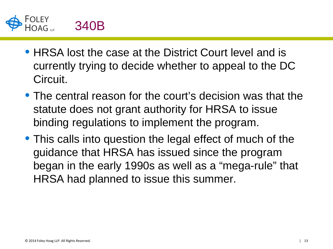

- HRSA lost the case at the District Court level and is currently trying to decide whether to appeal to the DC Circuit.
- The central reason for the court's decision was that the statute does not grant authority for HRSA to issue binding regulations to implement the program.
- This calls into question the legal effect of much of the guidance that HRSA has issued since the program began in the early 1990s as well as a "mega-rule" that HRSA had planned to issue this summer.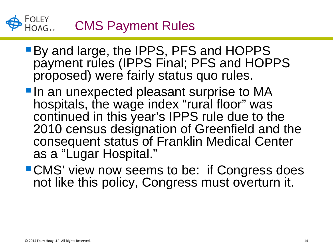## FOLEY<br>HOAG CMS Payment Rules

- By and large, the IPPS, PFS and HOPPS payment rules (IPPS Final; PFS and HOPPS proposed) were fairly status quo rules.
- **In an unexpected pleasant surprise to MA** hospitals, the wage index "rural floor" was continued in this year's IPPS rule due to the 2010 census designation of Greenfield and the consequent status of Franklin Medical Center as a "Lugar Hospital."
- **CMS' view now seems to be: if Congress does** not like this policy, Congress must overturn it.